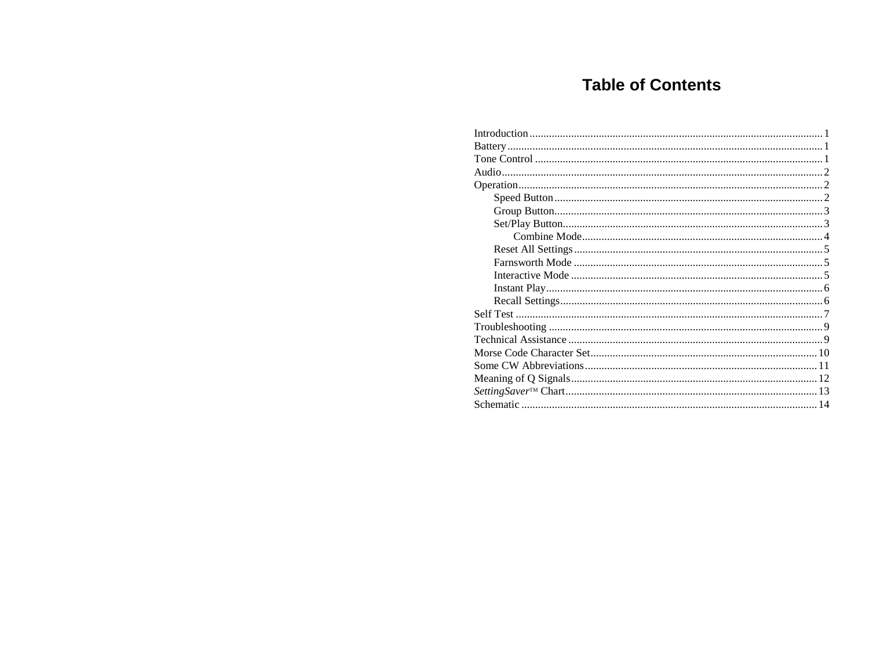# **Table of Contents**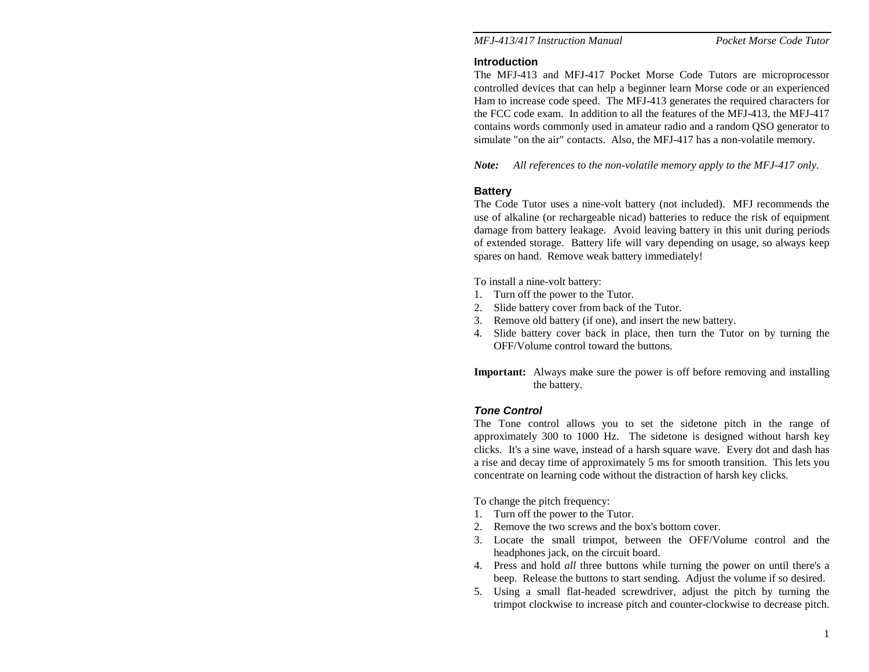#### **Introduction**

The MFJ-413 and MFJ-417 Pocket Morse Code Tutors are microprocessor controlled devices that can help a beginner learn Morse code or an experienced Ham to increase code speed. The MFJ-413 generates the required characters for the FCC code exam. In addition to all the features of the MFJ-413, the MFJ-417 contains words commonly used in amateur radio and a random QSO generator to simulate "on the air" contacts. Also, the MFJ-417 has a non-volatile memory.

*Note: All references to the non-volatile memory apply to the MFJ-417 only.* 

#### **Battery**

The Code Tutor uses a nine-volt battery (not included). MFJ recommends the use of alkaline (or rechargeable nicad) batteries to reduce the risk of equipment damage from battery leakage. Avoid leaving battery in this unit during periods of extended storage. Battery life will vary depending on usage, so always keep spares on hand. Remove weak battery immediately!

To install a nine-volt battery:

- 1. Turn off the power to the Tutor.
- 2. Slide battery cover from back of the Tutor.
- 3. Remove old battery (if one), and insert the new battery.
- 4. Slide battery cover back in place, then turn the Tutor on by turning the OFF/Volume control toward the buttons.
- **Important:** Always make sure the power is off before removing and installing the battery.

#### *Tone Control*

The Tone control allows you to set the sidetone pitch in the range of approximately 300 to 1000 Hz. The sidetone is designed without harsh key clicks. It's a sine wave, instead of a harsh square wave. Every dot and dash has a rise and decay time of approximately 5 ms for smooth transition. This lets you concentrate on learning code without the distraction of harsh key clicks.

To change the pitch frequency:

- 1. Turn off the power to the Tutor.
- 2. Remove the two screws and the box's bottom cover.
- 3. Locate the small trimpot, between the OFF/Volume control and the headphones jack, on the circuit board.
- 4. Press and hold *all* three buttons while turning the power on until there's a beep. Release the buttons to start sending. Adjust the volume if so desired.
- 5. Using a small flat-headed screwdriver, adjust the pitch by turning the trimpot clockwise to increase pitch and counter-clockwise to decrease pitch.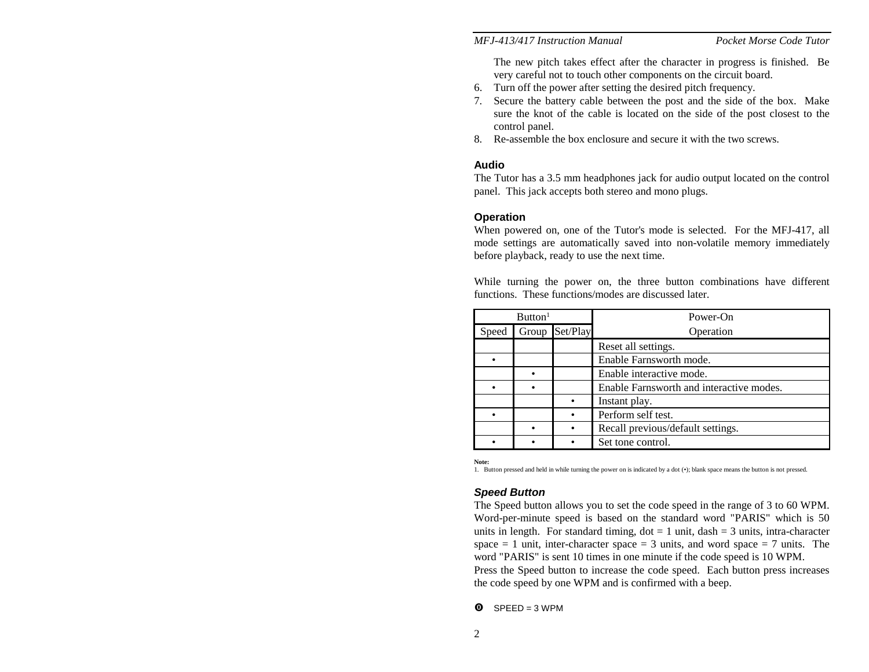The new pitch takes effect after the character in progress is finished. Be very careful not to touch other components on the circuit board.

- 6. Turn off the power after setting the desired pitch frequency.
- 7. Secure the battery cable between the post and the side of the box. Make sure the knot of the cable is located on the side of the post closest to the control panel.
- 8. Re-assemble the box enclosure and secure it with the two screws.

#### **Audio**

The Tutor has a 3.5 mm headphones jack for audio output located on the control panel. This jack accepts both stereo and mono plugs.

#### **Operation**

When powered on, one of the Tutor's mode is selected. For the MFJ-417, all mode settings are automatically saved into non-volatile memory immediately before playback, ready to use the next time.

While turning the power on, the three button combinations have different functions. These functions/modes are discussed later.

|       | Button <sup>1</sup> |          | Power-On                                 |  |
|-------|---------------------|----------|------------------------------------------|--|
| Speed | Group               | Set/Play | Operation                                |  |
|       |                     |          | Reset all settings.                      |  |
|       |                     |          | Enable Farnsworth mode.                  |  |
|       |                     |          | Enable interactive mode.                 |  |
|       |                     |          | Enable Farnsworth and interactive modes. |  |
|       |                     |          | Instant play.                            |  |
|       |                     |          | Perform self test.                       |  |
|       |                     |          | Recall previous/default settings.        |  |
|       |                     |          | Set tone control.                        |  |

**Note:** 

1. Button pressed and held in while turning the power on is indicated by a dot (•); blank space means the button is not pressed.

#### *Speed Button*

The Speed button allows you to set the code speed in the range of 3 to 60 WPM. Word-per-minute speed is based on the standard word "PARIS" which is 50 units in length. For standard timing,  $dot = 1$  unit,  $dash = 3$  units, intra-character space  $= 1$  unit, inter-character space  $= 3$  units, and word space  $= 7$  units. The word "PARIS" is sent 10 times in one minute if the code speed is 10 WPM. Press the Speed button to increase the code speed. Each button press increases the code speed by one WPM and is confirmed with a beep.

 $\bullet$  SPEED = 3 WPM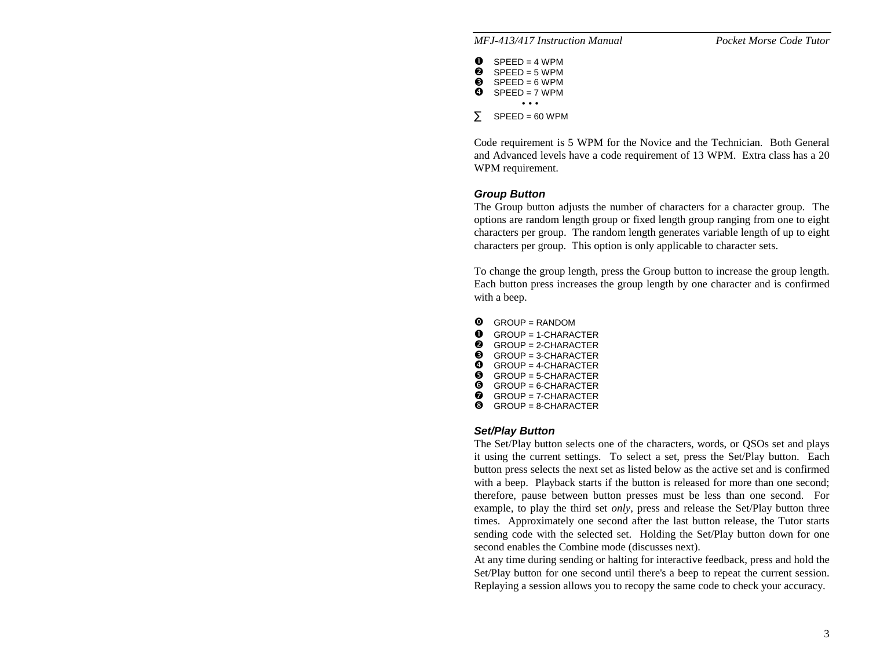| o<br>❷<br>❸<br>ø | $SPEED = 4 WPM$<br>$SPFFD = 5 WPM$<br>$SPEED = 6 WPM$<br>$SPFFD = 7 WPM$ |
|------------------|--------------------------------------------------------------------------|
|                  | .                                                                        |
| Σ                | $SPEED = 60 WPM$                                                         |

Code requirement is 5 WPM for the Novice and the Technician. Both General and Advanced levels have a code requirement of 13 WPM. Extra class has a 20 WPM requirement.

#### *Group Button*

The Group button adjusts the number of characters for a character group. The options are random length group or fixed length group ranging from one to eight characters per group. The random length generates variable length of up to eight characters per group. This option is only applicable to character sets.

To change the group length, press the Group button to increase the group length. Each button press increases the group length by one character and is confirmed with a beep.

- $\bullet$  GROUP = RANDOM
- $\bullet$ GROUP = 1-CHARACTER
- $\bullet$  GROUP = 2-CHARACTER
- $\bullet$  GROUP = 3-CHARACTER  $\bullet$  GROUP = 4-CHARACTER
- $\bullet$  GROUP = 5-CHARACTER
- $\bullet$  GROUP = 6-CHARACTER
- $\odot$  GROUP = 7-CHARACTER
- $\odot$  GROUP = 8-CHARACTER

#### *Set/Play Button*

The Set/Play button selects one of the characters, words, or QSOs set and plays it using the current settings. To select a set, press the Set/Play button. Each button press selects the next set as listed below as the active set and is confirmed with a beep. Playback starts if the button is released for more than one second; therefore, pause between button presses must be less than one second. For example, to play the third set *only*, press and release the Set/Play button three times. Approximately one second after the last button release, the Tutor starts sending code with the selected set. Holding the Set/Play button down for one second enables the Combine mode (discusses next).

At any time during sending or halting for interactive feedback, press and hold the Set/Play button for one second until there's a beep to repeat the current session. Replaying a session allows you to recopy the same code to check your accuracy.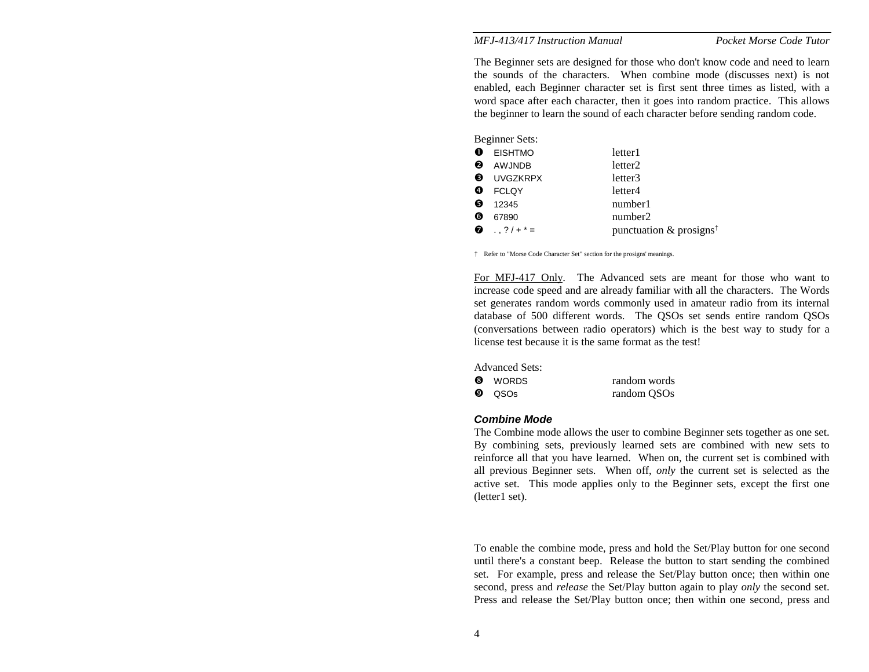The Beginner sets are designed for those who don't know code and need to learn the sounds of the characters. When combine mode (discusses next) is not enabled, each Beginner character set is first sent three times as listed, with a word space after each character, then it goes into random practice. This allows the beginner to learn the sound of each character before sending random code.

|   | Beginner Sets:       |                                        |
|---|----------------------|----------------------------------------|
|   | <b>EISHTMO</b>       | letter1                                |
| ❷ | AWJNDB               | letter <sub>2</sub>                    |
|   | <b>8</b> UVGZKRPX    | letter3                                |
| Đ | <b>FCLQY</b>         | letter4                                |
| 0 | 12345                | number1                                |
| ❻ | 67890                | number2                                |
| ❼ | $\ldots$ ? $/ + * =$ | punctuation $\&$ prosigns <sup>†</sup> |
|   |                      |                                        |

† Refer to "Morse Code Character Set" section for the prosigns' meanings.

For MFJ-417 Only. The Advanced sets are meant for those who want to increase code speed and are already familiar with all the characters. The Words set generates random words commonly used in amateur radio from its internal database of 500 different words. The QSOs set sends entire random QSOs (conversations between radio operators) which is the best way to study for a license test because it is the same format as the test!

Advanced Sets: **0** WORDS random words  $\boldsymbol{\Theta}$ QSOs random QSOs

#### *Combine Mode*

The Combine mode allows the user to combine Beginner sets together as one set. By combining sets, previously learned sets are combined with new sets to reinforce all that you have learned. When on, the current set is combined with all previous Beginner sets. When off, *only* the current set is selected as the active set. This mode applies only to the Beginner sets, except the first one (letter1 set).

To enable the combine mode, press and hold the Set/Play button for one second until there's a constant beep. Release the button to start sending the combined set. For example, press and release the Set/Play button once; then within one second, press and *release* the Set/Play button again to play *only* the second set. Press and release the Set/Play button once; then within one second, press and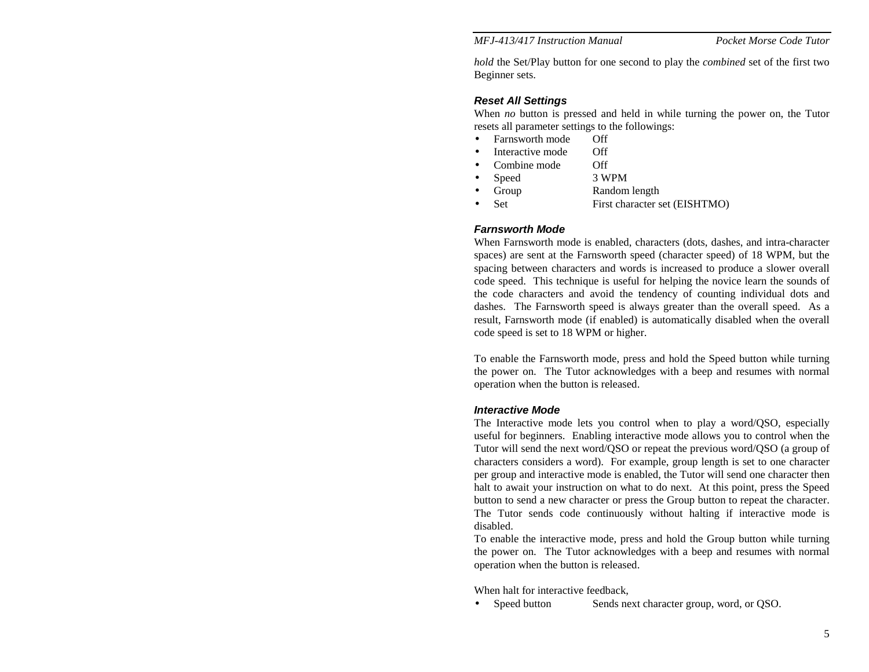*hold* the Set/Play button for one second to play the *combined* set of the first two Beginner sets.

#### *Reset All Settings*

When *no* button is pressed and held in while turning the power on, the Tutor resets all parameter settings to the followings:

- Farnsworth mode Off
- Interactive mode Off
- Combine mode Off
- Speed 3 WPM
- Group Random length
- Set First character set (EISHTMO)

#### *Farnsworth Mode*

When Farnsworth mode is enabled, characters (dots, dashes, and intra-character spaces) are sent at the Farnsworth speed (character speed) of 18 WPM, but the spacing between characters and words is increased to produce a slower overall code speed. This technique is useful for helping the novice learn the sounds of the code characters and avoid the tendency of counting individual dots and dashes. The Farnsworth speed is always greater than the overall speed. As a result, Farnsworth mode (if enabled) is automatically disabled when the overall code speed is set to 18 WPM or higher.

To enable the Farnsworth mode, press and hold the Speed button while turning the power on. The Tutor acknowledges with a beep and resumes with normal operation when the button is released.

#### *Interactive Mode*

The Interactive mode lets you control when to play a word/QSO, especially useful for beginners. Enabling interactive mode allows you to control when the Tutor will send the next word/QSO or repeat the previous word/QSO (a group of characters considers a word). For example, group length is set to one character per group and interactive mode is enabled, the Tutor will send one character then halt to await your instruction on what to do next. At this point, press the Speed button to send a new character or press the Group button to repeat the character. The Tutor sends code continuously without halting if interactive mode is disabled.

To enable the interactive mode, press and hold the Group button while turning the power on. The Tutor acknowledges with a beep and resumes with normal operation when the button is released.

When halt for interactive feedback,

• Speed button Sends next character group, word, or QSO.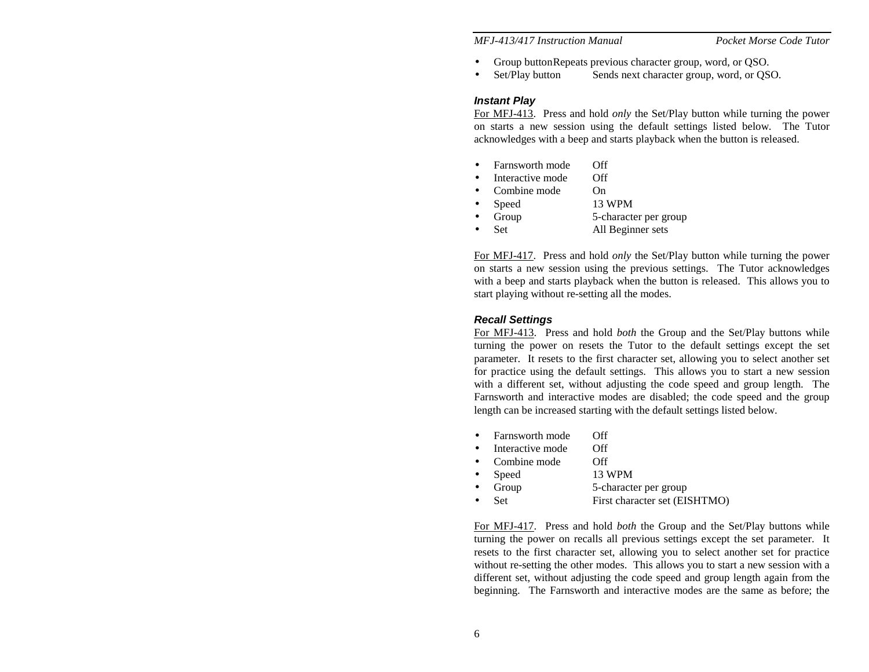- Group button Repeats previous character group, word, or QSO.
- Set/Play button Sends next character group, word, or OSO.

#### *Instant Play*

For MFJ-413. Press and hold *only* the Set/Play button while turning the power on starts a new session using the default settings listed below. The Tutor acknowledges with a beep and starts playback when the button is released.

- Farnsworth mode Off
- Interactive mode Off
- Combine mode On
- Speed 13 WPM
- Group 5-character per group
- Set All Beginner sets

For MFJ-417. Press and hold *only* the Set/Play button while turning the power on starts a new session using the previous settings. The Tutor acknowledges with a beep and starts playback when the button is released. This allows you to start playing without re-setting all the modes.

#### *Recall Settings*

For MFJ-413. Press and hold *both* the Group and the Set/Play buttons while turning the power on resets the Tutor to the default settings except the set parameter. It resets to the first character set, allowing you to select another set for practice using the default settings. This allows you to start a new session with a different set, without adjusting the code speed and group length. The Farnsworth and interactive modes are disabled; the code speed and the group length can be increased starting with the default settings listed below.

- Farnsworth mode Off
- Interactive mode Off
- Combine mode Off
- Speed 13 WPM
- Group 5-character per group
- Set First character set (EISHTMO)

For MFJ-417. Press and hold *both* the Group and the Set/Play buttons while turning the power on recalls all previous settings except the set parameter. It resets to the first character set, allowing you to select another set for practice without re-setting the other modes. This allows you to start a new session with a different set, without adjusting the code speed and group length again from the beginning. The Farnsworth and interactive modes are the same as before; the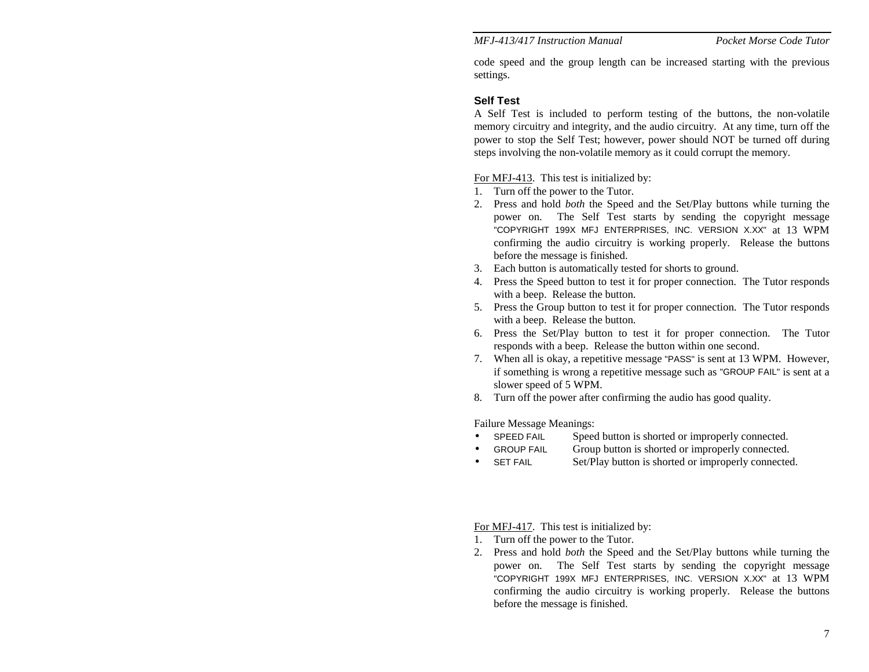Pocket Morse Code Tutor

code speed and the group length can be increased starting with the previous settings.

#### **Self Test**

A Self Test is included to perform testing of the buttons, the non-volatile memory circuitry and integrity, and the audio circuitry. At any time, turn off the power to stop the Self Test; however, power should NOT be turned off during steps involving the non-volatile memory as it could corrupt the memory.

For MFJ-413. This test is initialized by:

- 1. Turn off the power to the Tutor.
- 2. Press and hold *both* the Speed and the Set/Play buttons while turning the power on. The Self Test starts by sending the copyright message "COPYRIGHT 199X MFJ ENTERPRISES, INC. VERSION X.XX" at 13 WPM confirming the audio circuitry is working properly. Release the buttons before the message is finished.
- 3. Each button is automatically tested for shorts to ground.
- 4. Press the Speed button to test it for proper connection. The Tutor responds with a beep. Release the button.
- 5. Press the Group button to test it for proper connection. The Tutor responds with a beep. Release the button.
- 6. Press the Set/Play button to test it for proper connection. The Tutor responds with a beep. Release the button within one second.
- 7. When all is okay, a repetitive message "PASS" is sent at 13 WPM. However, if something is wrong a repetitive message such as "GROUP FAIL" is sent at a slower speed of 5 WPM.
- 8. Turn off the power after confirming the audio has good quality.

Failure Message Meanings:

- SPEED FAIL Speed button is shorted or improperly connected.
- GROUP FAIL Group button is shorted or improperly connected.
- SET FAIL Set/Play button is shorted or improperly connected.

For MFJ-417. This test is initialized by:

- 1. Turn off the power to the Tutor.
- 2. Press and hold *both* the Speed and the Set/Play buttons while turning the power on. The Self Test starts by sending the copyright message "COPYRIGHT 199X MFJ ENTERPRISES, INC. VERSION X.XX" at 13 WPM confirming the audio circuitry is working properly. Release the buttons before the message is finished.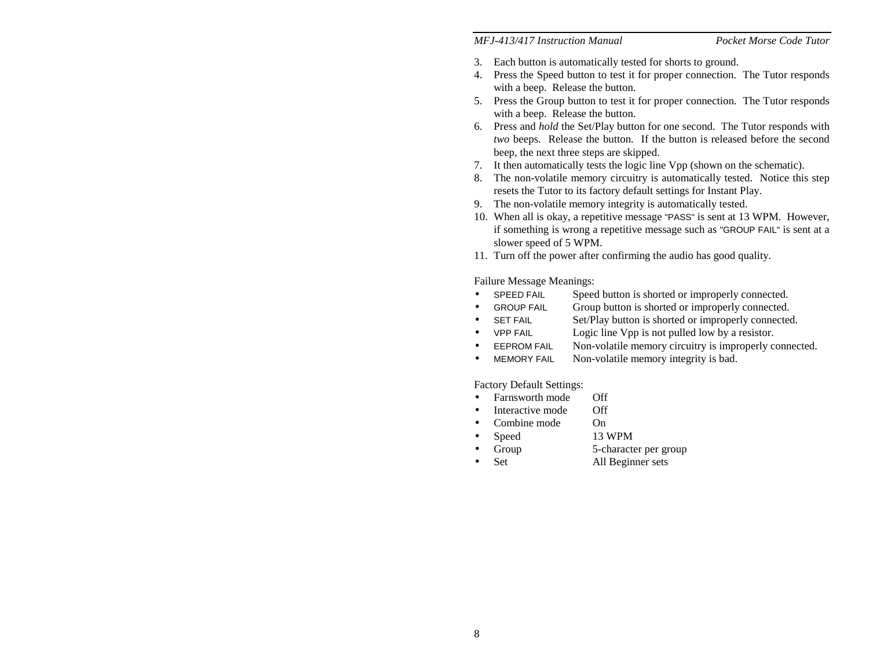#### Pocket Morse Code Tutor

- 3. Each button is automatically tested for shorts to ground.
- 4. Press the Speed button to test it for proper connection. The Tutor responds with a beep. Release the button.
- 5. Press the Group button to test it for proper connection. The Tutor responds with a beep. Release the button.
- 6. Press and *hold* the Set/Play button for one second. The Tutor responds with *two* beeps. Release the button. If the button is released before the second beep, the next three steps are skipped.
- 7. It then automatically tests the logic line Vpp (shown on the schematic).
- 8. The non-volatile memory circuitry is automatically tested. Notice this step resets the Tutor to its factory default settings for Instant Play.
- 9. The non-volatile memory integrity is automatically tested.
- 10. When all is okay, a repetitive message "PASS" is sent at 13 WPM. However, if something is wrong a repetitive message such as "GROUP FAIL" is sent at a slower speed of 5 WPM.
- 11. Turn off the power after confirming the audio has good quality.

Failure Message Meanings:

- SPEED FAIL Speed button is shorted or improperly connected.
- GROUP FAIL Group button is shorted or improperly connected.
- SET FAIL Set/Play button is shorted or improperly connected.
- VPP FAIL Logic line Vpp is not pulled low by a resistor.
- EEPROM FAIL Non-volatile memory circuitry is improperly connected.
- MEMORY FAIL Non-volatile memory integrity is bad.

Factory Default Settings:

- $\bullet$  Farnsworth mode Off
- Interactive mode Off
	- Combine mode On
- Speed 13 WPM
	- Group 5-character per group
- Set All Beginner sets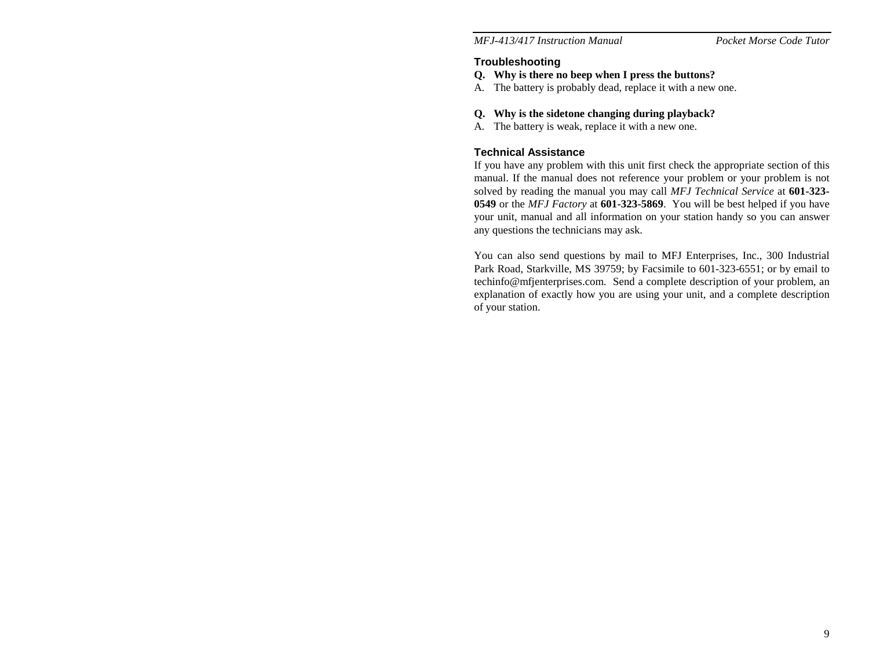Pocket Morse Code Tutor

# **Troubleshooting**

- **Q. Why is there no beep when I press the buttons?**
- A. The battery is probably dead, replace it with a new one.

#### **Q. Why is the sidetone changing during playback?**

A. The battery is weak, replace it with a new one.

## **Technical Assistance**

If you have any problem with this unit first check the appropriate section of this manual. If the manual does not reference your problem or your problem is not solved by reading the manual you may call *MFJ Technical Service* at **601-323- 0549** or the *MFJ Factory* at **601-323-5869**. You will be best helped if you have your unit, manual and all information on your station handy so you can answer any questions the technicians may ask.

You can also send questions by mail to MFJ Enterprises, Inc., 300 Industrial Park Road, Starkville, MS 39759; by Facsimile to 601-323-6551; or by email to techinfo@mfjenterprises.com. Send a complete description of your problem, an explanation of exactly how you are using your unit, and a complete description of your station.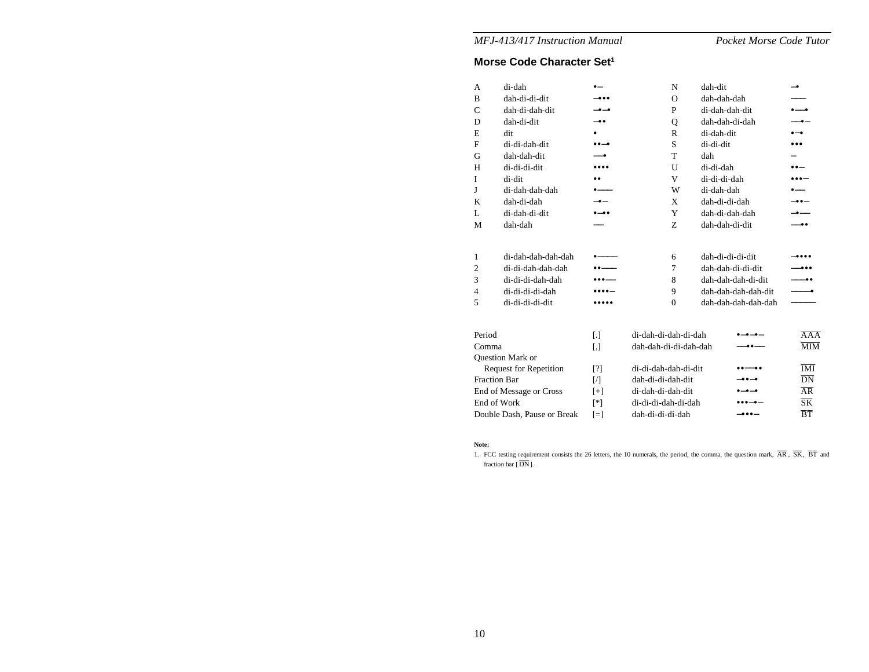Pocket Morse Code Tutor

# **Morse Code Character Set1**

| A                   | di-dah                        | — ه                      | N                     | dah-dit             | –•                                                 |
|---------------------|-------------------------------|--------------------------|-----------------------|---------------------|----------------------------------------------------|
| B                   | dah-di-di-dit                 | -                        | $\Omega$              | dah-dah-dah         |                                                    |
| $\mathsf{C}$        | dah-di-dah-dit                | $-$ 0 $-$ 0              | P                     | di-dah-dah-dit      | $\bullet\hspace{-4pt}-\hspace{-4pt}-\hspace{-4pt}$ |
| D                   | dah-di-dit                    | -00                      | Q                     | dah-dah-di-dah      | —•—                                                |
| E                   | dit                           | ٠                        | R                     | di-dah-dit          | $\bullet-\bullet$                                  |
| $\mathbf{F}$        | di-di-dah-dit                 | $\bullet\bullet-\bullet$ | S                     | di-di-dit           |                                                    |
| G                   | dah-dah-dit                   | -0                       | T                     | dah                 |                                                    |
| H                   | di-di-di-dit                  |                          | U                     | di-di-dah           | $\bullet\bullet-$                                  |
| $\mathbf{I}$        | di-dit                        |                          | V                     | di-di-di-dah        | $\bullet\bullet\bullet-$                           |
| J                   | di-dah-dah-dah                |                          | W                     | di-dah-dah          |                                                    |
| K                   | dah-di-dah                    | $-$ e $-$                | X                     | dah-di-di-dah       | -00-                                               |
| L                   | di-dah-di-dit                 | $\bullet-\bullet\bullet$ | Y                     | dah-di-dah-dah      |                                                    |
| M                   | dah-dah                       |                          | Z                     | dah-dah-di-dit      | -00                                                |
|                     |                               |                          |                       |                     |                                                    |
| 1                   | di-dah-dah-dah-dah            |                          | 6                     | dah-di-di-di-dit    | -                                                  |
| $\mathbf{2}$        | di-di-dah-dah-dah             |                          | 7                     | dah-dah-di-di-dit   |                                                    |
| 3                   | di-di-di-dah-dah              |                          | 8                     | dah-dah-dah-di-dit  | -00                                                |
| 4                   | di-di-di-di-dah               |                          | 9                     | dah-dah-dah-dah-dit |                                                    |
| 5                   | di-di-di-di-dit               |                          | $\Omega$              | dah-dah-dah-dah-dah |                                                    |
|                     |                               |                          |                       |                     |                                                    |
| Period              |                               | $\lceil . \rceil$        | di-dah-di-dah-di-dah  |                     | $\overline{A}\overline{A}$                         |
| Comma               |                               | $\lceil$ ,               | dah-dah-di-di-dah-dah | .                   | $\overline{\text{MIM}}$                            |
|                     | Question Mark or              |                          |                       |                     |                                                    |
|                     | <b>Request for Repetition</b> | [?]                      | di-di-dah-dah-di-dit  |                     | $\overline{\text{IMI}}$                            |
| <b>Fraction Bar</b> |                               | IЛ                       | dah-di-di-dah-dit     | -00-0               | $\overline{DN}$                                    |
|                     | End of Message or Cross       | $[+]$                    | di-dah-di-dah-dit     |                     | $\overline{AR}$                                    |
| End of Work         |                               | [*]                      | di-di-di-dah-di-dah   |                     | $\overline{\text{SK}}$                             |
|                     | Double Dash, Pause or Break   | [=]                      | dah-di-di-di-dah      | $-000-$             | $\overline{B}$ $\overline{T}$                      |

**Note:** 

1. FCC testing requirement consists the 26 letters, the 10 numerals, the period, the comma, the question mark,  $\overline{AR}$ ,  $\overline{SK}$ ,  $\overline{BT}$  and fraction bar [ $\overline{DN}$ ].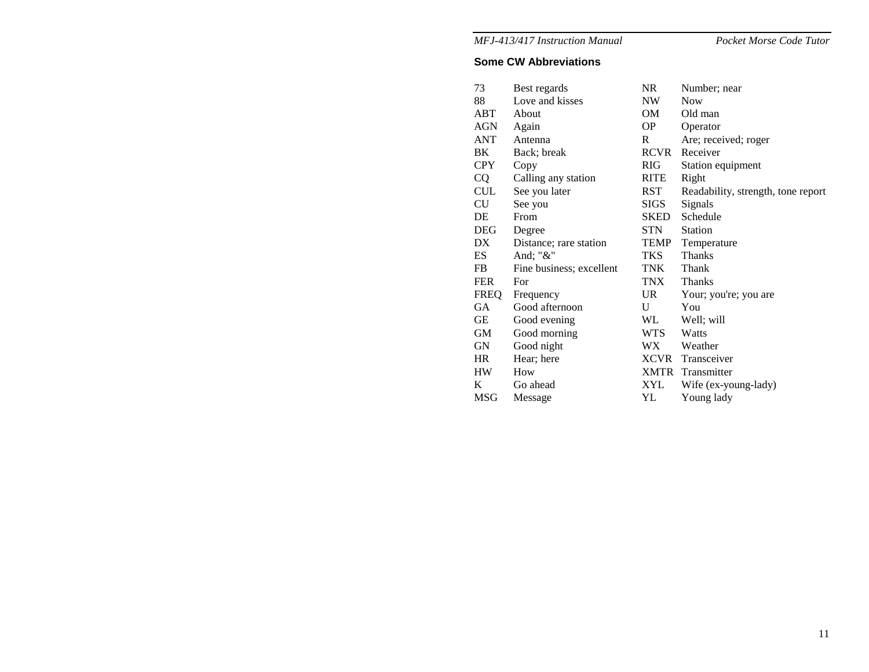Pocket Morse Code Tutor

#### **Some CW Abbreviations**

| 73          | Best regards             | NR         | Number; near                       |
|-------------|--------------------------|------------|------------------------------------|
| 88          | Love and kisses          | NW         | <b>Now</b>                         |
| ABT         | About                    | OM         | Old man                            |
| AGN         | Again                    | OP.        | Operator                           |
| ANT         | Antenna                  | R          | Are; received; roger               |
| BK.         | Back; break              | RCVR       | Receiver                           |
| <b>CPY</b>  | Copy                     | <b>RIG</b> | Station equipment                  |
| <b>CQ</b>   | Calling any station      | RITE       | Right                              |
| <b>CUL</b>  | See you later            | RST        | Readability, strength, tone report |
| CU          | See you                  | SIGS       | Signals                            |
| DE          | From                     | SKED       | Schedule                           |
| <b>DEG</b>  | Degree                   | STN        | <b>Station</b>                     |
| DX.         | Distance; rare station   | TEMP       | Temperature                        |
| ES          | And; " $&$ "             | TKS        | <b>Thanks</b>                      |
| FB          | Fine business; excellent | TNK        | Thank                              |
| <b>FER</b>  | For                      | TNX        | <b>Thanks</b>                      |
| <b>FREQ</b> | Frequency                | UR.        | Your; you're; you are              |
| <b>GA</b>   | Good afternoon           | U          | You                                |
| GE          | Good evening             | WL         | Well; will                         |
| GM          | Good morning             | WTS.       | Watts                              |
| GN          | Good night               | WX.        | Weather                            |
| HR.         | Hear; here               |            | XCVR Transceiver                   |
| <b>HW</b>   | How                      |            | <b>XMTR</b> Transmitter            |
| K           | Go ahead                 | XYL        | Wife (ex-young-lady)               |
| <b>MSG</b>  | Message                  | YL         | Young lady                         |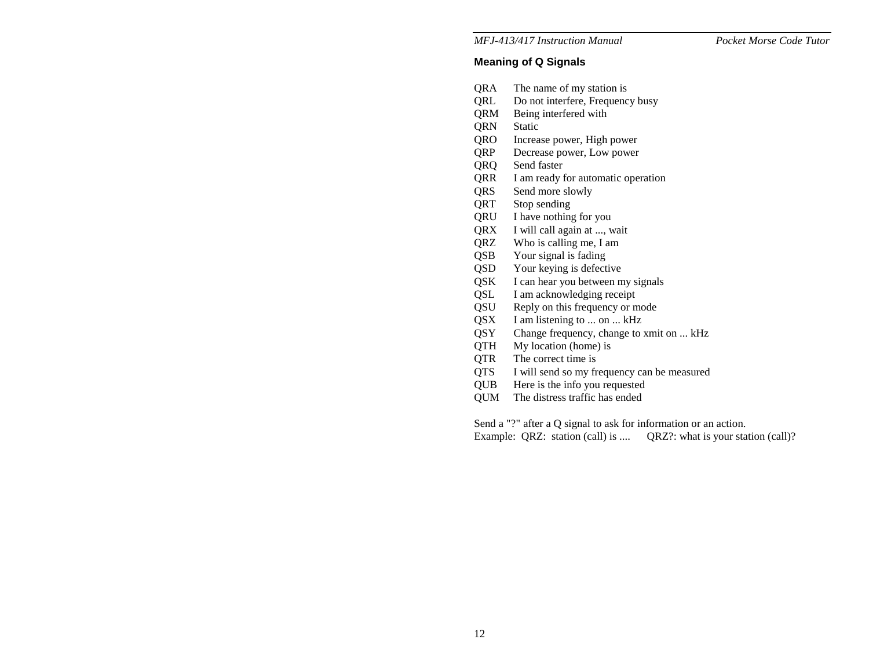# **Meaning of Q Signals**

- QRA The name of my station is
- QRL Do not interfere, Frequency busy
- QRM Being interfered with
- QRN Static
- QRO Increase power, High power
- QRP Decrease power, Low power
- QRQ Send faster
- QRR I am ready for automatic operation
- QRS Send more slowly
- QRT Stop sending
- QRU I have nothing for you
- QRX I will call again at ..., wait
- QRZ Who is calling me, I am
- QSB Your signal is fading
- QSD Your keying is defective
- QSK I can hear you between my signals
- QSL I am acknowledging receipt
- QSU Reply on this frequency or mode
- QSX I am listening to ... on ... kHz
- QSY Change frequency, change to xmit on ... kHz
- QTH My location (home) is
- QTR The correct time is
- QTS I will send so my frequency can be measured
- QUB Here is the info you requested
- QUM The distress traffic has ended

Send a "?" after a Q signal to ask for information or an action.

Example: QRZ: station (call) is .... QRZ?: what is your station (call)?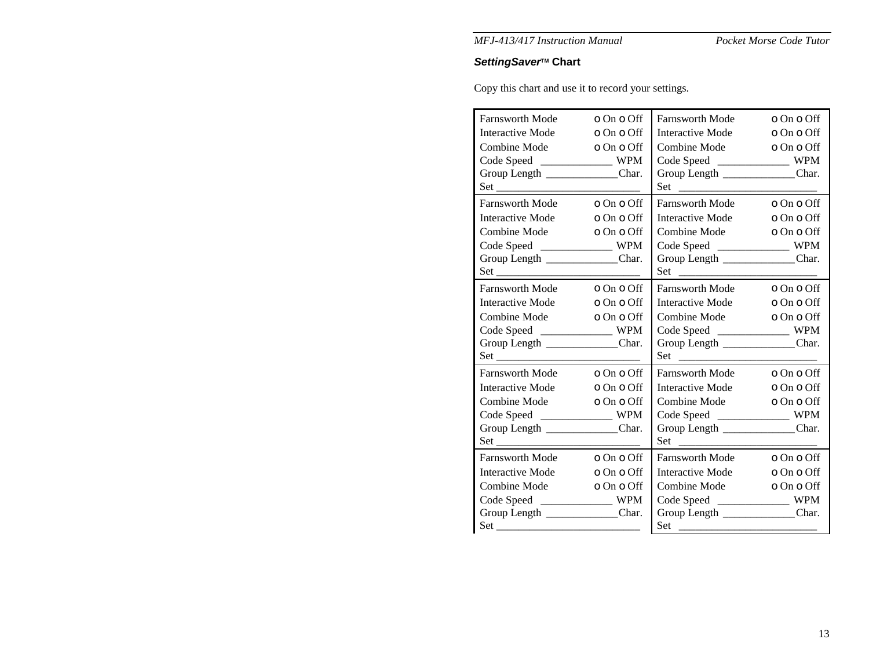Pocket Morse Code Tutor

# **SettingSaver<sup>™</sup> Chart**

Copy this chart and use it to record your settings.

| Farnsworth Mode                   | o On o Off | <b>Farnsworth Mode</b>                    | o On o Off |
|-----------------------------------|------------|-------------------------------------------|------------|
| <b>Interactive Mode</b>           | o On o Off | Interactive Mode                          | o On o Off |
| Combine Mode                      | o On o Off | Combine Mode                              | o On o Off |
| Code Speed ________________ WPM   |            |                                           |            |
| Group Length _______________Char. |            | Group Length _______________Char.         |            |
|                                   |            | $Set \begin{array}{c} \hline \end{array}$ |            |
| Farnsworth Mode                   | o On o Off | <b>Farnsworth Mode</b>                    | o On o Off |
| Interactive Mode o On o Off       |            | Interactive Mode o On o Off               |            |
| Combine Mode                      | o On o Off | Combine Mode                              | o On o Off |
| Code Speed ________________ WPM   |            | Code Speed ____________________ WPM       |            |
| Group Length ______________Char.  |            | Group Length ______________Char.          |            |
|                                   |            |                                           |            |
| Farnsworth Mode o On o Off        |            | Farnsworth Mode o On o Off                |            |
| Interactive Mode o On o Off       |            | <b>Interactive Mode</b>                   | o On o Off |
| Combine Mode                      | o On o Off | Combine Mode                              | o On o Off |
| Code Speed ________________ WPM   |            | Code Speed ____________________ WPM       |            |
| Group Length _____________Char.   |            | Group Length ____________Char.            |            |
|                                   |            | $Set \begin{array}{c} \hline \end{array}$ |            |
| Farnsworth Mode                   | o On o Off | Farnsworth Mode o On o Off                |            |
| Interactive Mode o On o Off       |            | Interactive Mode o On o Off               |            |
| Combine Mode                      | o On o Off | Combine Mode                              | o On o Off |
| Code Speed ________________ WPM   |            | Code Speed _________________ WPM          |            |
| Group Length _______________Char. |            | Group Length _______________Char.         |            |
|                                   |            |                                           |            |
| Farnsworth Mode o On o Off        |            | Farnsworth Mode o On o Off                |            |
| Interactive Mode                  | o On o Off | Interactive Mode                          | o On o Off |
| Combine Mode o On o Off           |            | Combine Mode                              | o On o Off |
| Code Speed _________________ WPM  |            | Code Speed ____________________ WPM       |            |
| Group Length _______________Char. |            | Group Length _______________Char.         |            |
|                                   |            |                                           |            |